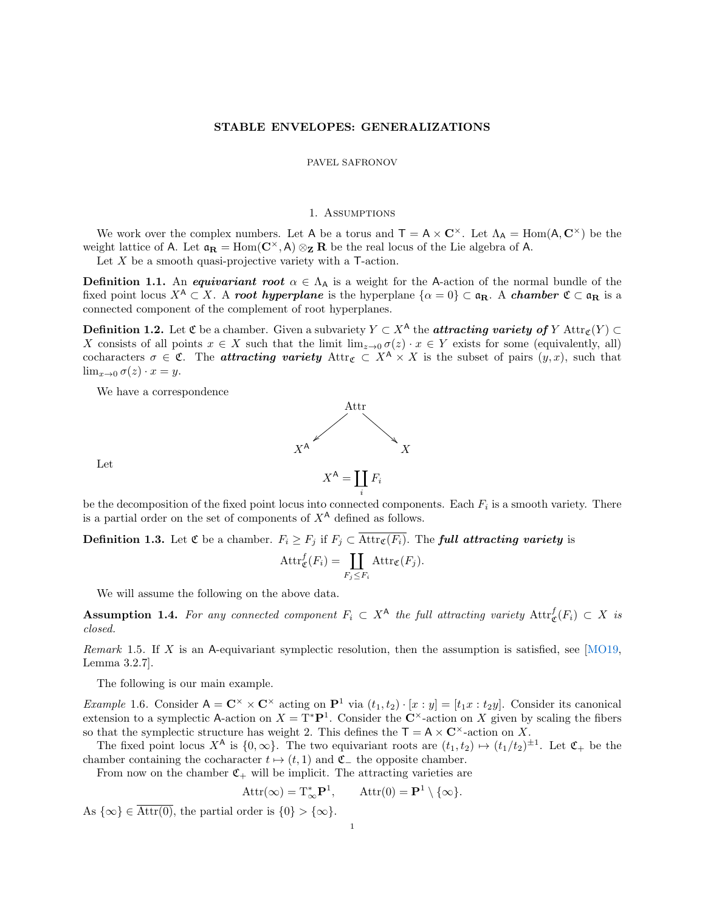### STABLE ENVELOPES: GENERALIZATIONS

### PAVEL SAFRONOV

#### 1. Assumptions

We work over the complex numbers. Let A be a torus and  $T = A \times C^{\times}$ . Let  $\Lambda_A = \text{Hom}(A, C^{\times})$  be the weight lattice of A. Let  $\mathfrak{a}_R = \text{Hom}(\mathbb{C}^{\times}, A) \otimes_{\mathbb{Z}} R$  be the real locus of the Lie algebra of A.

Let  $X$  be a smooth quasi-projective variety with a T-action.

**Definition 1.1.** An *equivariant root*  $\alpha \in \Lambda_A$  is a weight for the A-action of the normal bundle of the fixed point locus  $X^{\mathsf{A}} \subset X$ . A root hyperplane is the hyperplane  $\{\alpha = 0\} \subset \mathfrak{a}_{\mathbf{R}}$ . A chamber  $\mathfrak{C} \subset \mathfrak{a}_{\mathbf{R}}$  is a connected component of the complement of root hyperplanes.

**Definition 1.2.** Let  $\mathfrak{C}$  be a chamber. Given a subvariety  $Y \subset X^{\mathsf{A}}$  the **attracting variety of** Y Attr $_{\mathfrak{C}}(Y) \subset$ X consists of all points  $x \in X$  such that the limit  $\lim_{z\to 0} \sigma(z) \cdot x \in Y$  exists for some (equivalently, all) cocharacters  $\sigma \in \mathfrak{C}$ . The **attracting variety** Attr $\mathfrak{c} \subset X^{\mathsf{A}} \times X$  is the subset of pairs  $(y, x)$ , such that  $\lim_{x\to 0} \sigma(z) \cdot x = y.$ 

We have a correspondence



Let

be the decomposition of the fixed point locus into connected components. Each  $F_i$  is a smooth variety. There is a partial order on the set of components of  $X^{\mathsf{A}}$  defined as follows.

i

**Definition 1.3.** Let  $\mathfrak{C}$  be a chamber.  $F_i \geq F_j$  if  $F_j \subset \overline{\text{Attr}_{\mathfrak{C}}(F_i)}$ . The **full attracting variety** is

$$
\text{Attr}_{\mathfrak{C}}^f(F_i) = \coprod_{F_j \leq F_i} \text{Attr}_{\mathfrak{C}}(F_j).
$$

We will assume the following on the above data.

**Assumption 1.4.** For any connected component  $F_i \subset X^{\mathsf{A}}$  the full attracting variety  $\text{Attr}^f_{\mathfrak{C}}(F_i) \subset X$  is closed.

Remark 1.5. If X is an A-equivariant symplectic resolution, then the assumption is satisfied, see  $[MO19,$ Lemma 3.2.7].

The following is our main example.

<span id="page-0-0"></span>*Example* 1.6. Consider  $A = \mathbb{C}^\times \times \mathbb{C}^\times$  acting on  $\mathbb{P}^1$  via  $(t_1, t_2) \cdot [x : y] = [t_1x : t_2y]$ . Consider its canonical extension to a symplectic A-action on  $X = T^*P^1$ . Consider the C<sup>×</sup>-action on X given by scaling the fibers so that the symplectic structure has weight 2. This defines the  $T = A \times C^{\times}$ -action on X.

The fixed point locus  $X^{\mathsf{A}}$  is  $\{0,\infty\}$ . The two equivariant roots are  $(t_1,t_2) \mapsto (t_1/t_2)^{\pm 1}$ . Let  $\mathfrak{C}_+$  be the chamber containing the cocharacter  $t \mapsto (t, 1)$  and  $\mathfrak{C}_-$  the opposite chamber.

From now on the chamber  $\mathfrak{C}_+$  will be implicit. The attracting varieties are

$$
Attr(\infty) = T^*_{\infty} \mathbf{P}^1, \qquad Attr(0) = \mathbf{P}^1 \setminus \{\infty\}.
$$

As  $\{\infty\} \in \overline{\text{Attr}(0)}$ , the partial order is  $\{0\} > \{\infty\}.$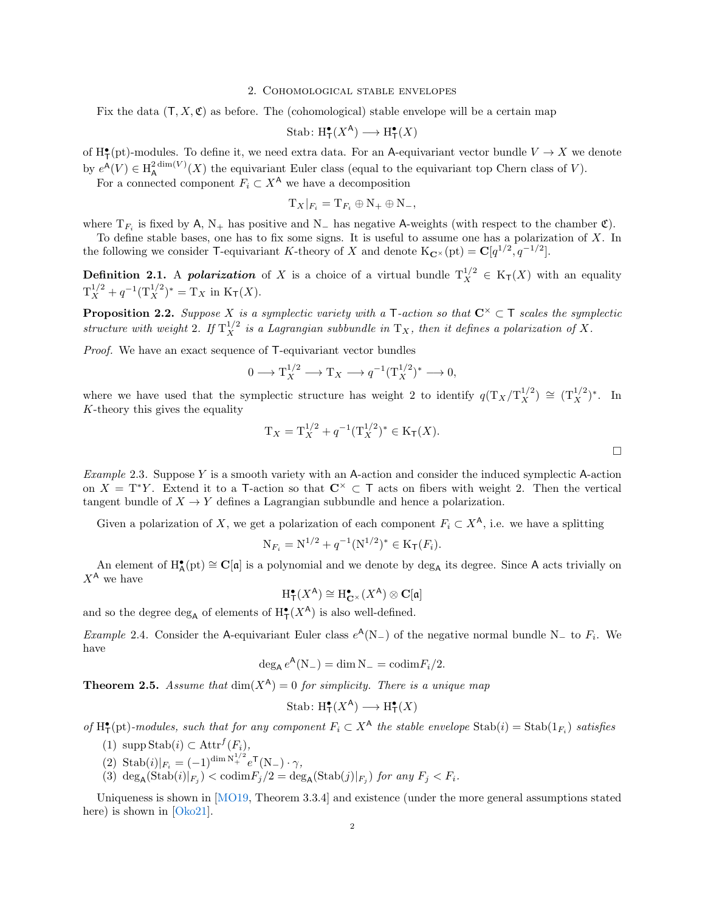#### 2. Cohomological stable envelopes

Fix the data  $(T, X, \mathfrak{C})$  as before. The (cohomological) stable envelope will be a certain map

$$
\text{Stab} \colon \mathrm{H}^\bullet_\mathsf{T}(X^\mathsf{A}) \longrightarrow \mathrm{H}^\bullet_\mathsf{T}(X)
$$

of  $H^{\bullet}_{\mathsf{T}}(\text{pt})$ -modules. To define it, we need extra data. For an A-equivariant vector bundle  $V \to X$  we denote by  $e^{\mathsf{A}}(V) \in \text{H}_{\mathsf{A}}^{2 \dim(V)}$  $\mathcal{L}_{\mathsf{A}}^{\dim(V)}(X)$  the equivariant Euler class (equal to the equivariant top Chern class of V).

For a connected component  $F_i \subset X^{\mathsf{A}}$  we have a decomposition

$$
\mathrm{T}_X|_{F_i} = \mathrm{T}_{F_i} \oplus \mathrm{N}_+ \oplus \mathrm{N}_-,
$$

where  $T_{F_i}$  is fixed by A, N<sub>+</sub> has positive and N<sub>-</sub> has negative A-weights (with respect to the chamber  $\mathfrak{C}$ ).

To define stable bases, one has to fix some signs. It is useful to assume one has a polarization of X. In the following we consider T-equivariant K-theory of X and denote  $K_{\mathbf{C}^{\times}}(\text{pt}) = \mathbf{C}[q^{1/2}, q^{-1/2}]$ .

**Definition 2.1.** A *polarization* of X is a choice of a virtual bundle  $T_X^{1/2} \in K_T(X)$  with an equality  $T_X^{1/2} + q^{-1} (T_X^{1/2})^* = T_X$  in  $K_T(X)$ .

**Proposition 2.2.** Suppose X is a symplectic variety with a T-action so that  $C^{\times} \subset T$  scales the symplectic structure with weight 2. If  $T_X^{1/2}$  is a Lagrangian subbundle in  $T_X$ , then it defines a polarization of X.

Proof. We have an exact sequence of T-equivariant vector bundles

$$
0 \longrightarrow T_X^{1/2} \longrightarrow T_X \longrightarrow q^{-1}(T_X^{1/2})^* \longrightarrow 0,
$$

where we have used that the symplectic structure has weight 2 to identify  $q(T_X/T_X^{1/2}) \cong (T_X^{1/2})^*$ . In K-theory this gives the equality

$$
T_X = T_X^{1/2} + q^{-1} (T_X^{1/2})^* \in K_T(X).
$$

<span id="page-1-0"></span>Example 2.3. Suppose  $Y$  is a smooth variety with an A-action and consider the induced symplectic A-action on  $X = T^*Y$ . Extend it to a T-action so that  $C^{\times} \subset T$  acts on fibers with weight 2. Then the vertical tangent bundle of  $X \to Y$  defines a Lagrangian subbundle and hence a polarization.

Given a polarization of X, we get a polarization of each component  $F_i \subset X^{\mathsf{A}}$ , i.e. we have a splitting

$$
N_{F_i} = N^{1/2} + q^{-1} (N^{1/2})^* \in K_T(F_i).
$$

An element of  $H_{\mathsf{A}}^{\bullet}(\mathrm{pt}) \cong \mathbb{C}[\mathfrak{a}]$  is a polynomial and we denote by  $\deg_{\mathsf{A}}$  its degree. Since A acts trivially on  $X^{\mathsf{A}}$  we have

$$
\mathrm{H}^\bullet_T(X^\mathsf{A}) \cong \mathrm{H}^\bullet_{\mathbf{C}^\times}(X^\mathsf{A}) \otimes \mathbf{C}[\mathfrak{a}]
$$

and so the degree  $\deg_A$  of elements of  $H^{\bullet}_{\mathsf{T}}(X^{\mathsf{A}})$  is also well-defined.

Example 2.4. Consider the A-equivariant Euler class  $e^{A}(N_{-})$  of the negative normal bundle N<sub>-</sub> to  $F_i$ . We have

$$
\deg_{\mathsf{A}} e^{\mathsf{A}}(N_{-}) = \dim N_{-} = \mathrm{codim} F_{i}/2.
$$

**Theorem 2.5.** Assume that  $\dim(X^{\mathsf{A}}) = 0$  for simplicity. There is a unique map

$$
\text{Stab} \colon \mathrm{H}^\bullet_\mathsf{T}(X^\mathsf{A}) \longrightarrow \mathrm{H}^\bullet_\mathsf{T}(X)
$$

of  $H^{\bullet}_{\mathsf{T}}(\text{pt})$ -modules, such that for any component  $F_i \subset X^{\mathsf{A}}$  the stable envelope  $\text{Stab}(i) = \text{Stab}(1_{F_i})$  satisfies

- (1)  $\text{supp Stab}(i) \subset \text{Attr}^f(F_i)$ ,
- (2) Stab $(i)|_{F_i} = (-1)^{\dim N_i^{1/2}} e^{\mathsf{T}}(N_-) \cdot \gamma,$
- (3)  $\deg_A(\text{Stab}(i)|_{F_j}) < \text{codim} F_j/2 = \deg_A(\text{Stab}(j)|_{F_j})$  for any  $F_j < F_i$ .

Uniqueness is shown in [\[MO19,](#page-9-0) Theorem 3.3.4] and existence (under the more general assumptions stated here) is shown in [\[Oko21\]](#page-9-1).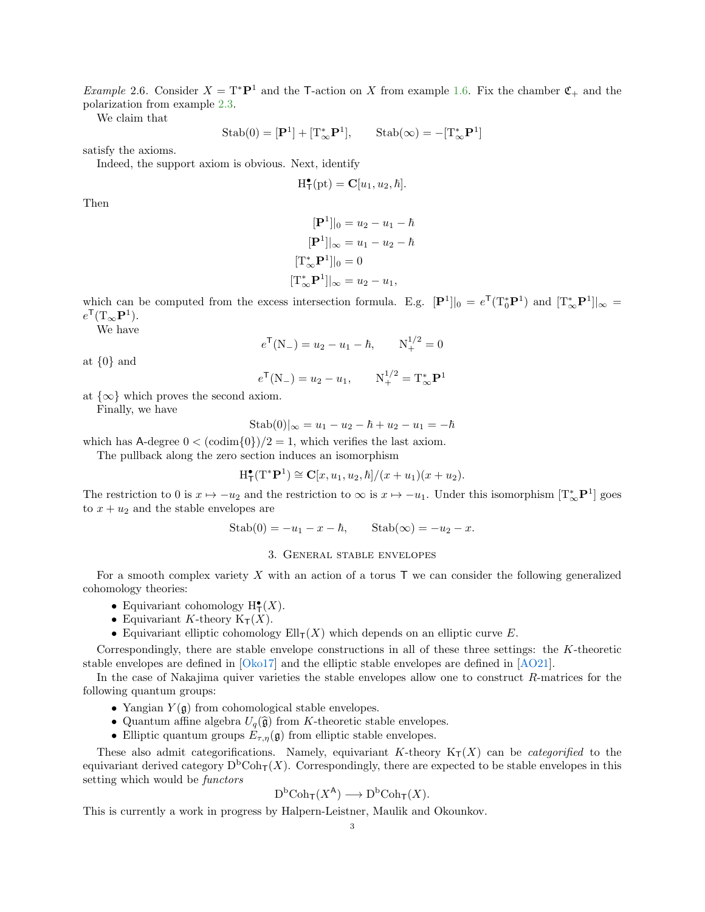*Example* 2.6. Consider  $X = T^*P^1$  and the T-action on X from example [1.6.](#page-0-0) Fix the chamber  $\mathfrak{C}_+$  and the polarization from example [2.3.](#page-1-0)

We claim that

$$
\mathrm{Stab}(0) = [\mathbf{P}^1] + [\mathrm{T}_{\infty}^* \mathbf{P}^1], \qquad \mathrm{Stab}(\infty) = -[\mathrm{T}_{\infty}^* \mathbf{P}^1]
$$

satisfy the axioms.

Indeed, the support axiom is obvious. Next, identify

$$
H^{\bullet}_{\mathsf{T}}(\text{pt}) = \mathbf{C}[u_1, u_2, \hbar].
$$

Then

$$
[\mathbf{P}^{1}]|_{0} = u_{2} - u_{1} - \hbar
$$

$$
[\mathbf{P}^{1}]|_{\infty} = u_{1} - u_{2} - \hbar
$$

$$
[\mathbf{T}_{\infty}^{*} \mathbf{P}^{1}]|_{0} = 0
$$

$$
[\mathbf{T}_{\infty}^{*} \mathbf{P}^{1}]|_{\infty} = u_{2} - u_{1},
$$

which can be computed from the excess intersection formula. E.g.  $[\mathbf{P}^1]|_0 = e^{\mathsf{T}}(\mathrm{T}_0^*\mathbf{P}^1)$  and  $[\mathrm{T}_\infty^*\mathbf{P}^1]|_\infty =$  $e^{\mathsf{T}}(\mathrm{T}_{\infty} \mathbf{P}^1).$ 

We have

$$
e^{\mathsf{T}}(N_{-}) = u_2 - u_1 - \hbar, \qquad N_{+}^{1/2} = 0
$$

at  $\{0\}$  and

$$
e^{\mathsf{T}}(N_{-}) = u_2 - u_1, \qquad N_{+}^{1/2} = T_{\infty}^{*} \mathbf{P}^{1}
$$

at  $\{\infty\}$  which proves the second axiom. Finally, we have

 $Stab(0)|_{\infty} = u_1 - u_2 - \hbar + u_2 - u_1 = -\hbar$ 

which has A-degree  $0 < (\text{codim}\{0\})/2 = 1$ , which verifies the last axiom.

The pullback along the zero section induces an isomorphism

$$
\mathrm{H}^{\bullet}_{\mathsf{T}}(\mathrm{T}^*\mathbf{P}^1) \cong \mathbf{C}[x, u_1, u_2, \hbar]/(x+u_1)(x+u_2).
$$

The restriction to 0 is  $x \mapsto -u_2$  and the restriction to  $\infty$  is  $x \mapsto -u_1$ . Under this isomorphism  $[T^*_{\infty} \mathbf{P}^1]$  goes to  $x + u_2$  and the stable envelopes are

$$
Stab(0) = -u_1 - x - \hbar, \qquad Stab(\infty) = -u_2 - x.
$$

## 3. General stable envelopes

For a smooth complex variety  $X$  with an action of a torus  $T$  we can consider the following generalized cohomology theories:

- Equivariant cohomology  $H^{\bullet}_{\mathsf{T}}(X)$ .
- Equivariant K-theory  $K_T(X)$ .
- Equivariant elliptic cohomology  $Ell_{T}(X)$  which depends on an elliptic curve E.

Correspondingly, there are stable envelope constructions in all of these three settings: the  $K$ -theoretic stable envelopes are defined in [\[Oko17\]](#page-9-2) and the elliptic stable envelopes are defined in [\[AO21\]](#page-8-0).

In the case of Nakajima quiver varieties the stable envelopes allow one to construct R-matrices for the following quantum groups:

- Yangian  $Y(\mathfrak{g})$  from cohomological stable envelopes.
- Quantum affine algebra  $U_q(\hat{\mathfrak{g}})$  from K-theoretic stable envelopes.
- Elliptic quantum groups  $E_{\tau,\eta}(\mathfrak{g})$  from elliptic stable envelopes.

These also admit categorifications. Namely, equivariant K-theory  $K_T(X)$  can be *categorified* to the equivariant derived category  $D^{\text{b}}\text{Coh}_{\text{T}}(X)$ . Correspondingly, there are expected to be stable envelopes in this setting which would be functors

$$
D^{\mathrm{b}}\mathrm{Coh}_{\mathsf{T}}(X^{\mathsf{A}}) \longrightarrow D^{\mathrm{b}}\mathrm{Coh}_{\mathsf{T}}(X).
$$

This is currently a work in progress by Halpern-Leistner, Maulik and Okounkov.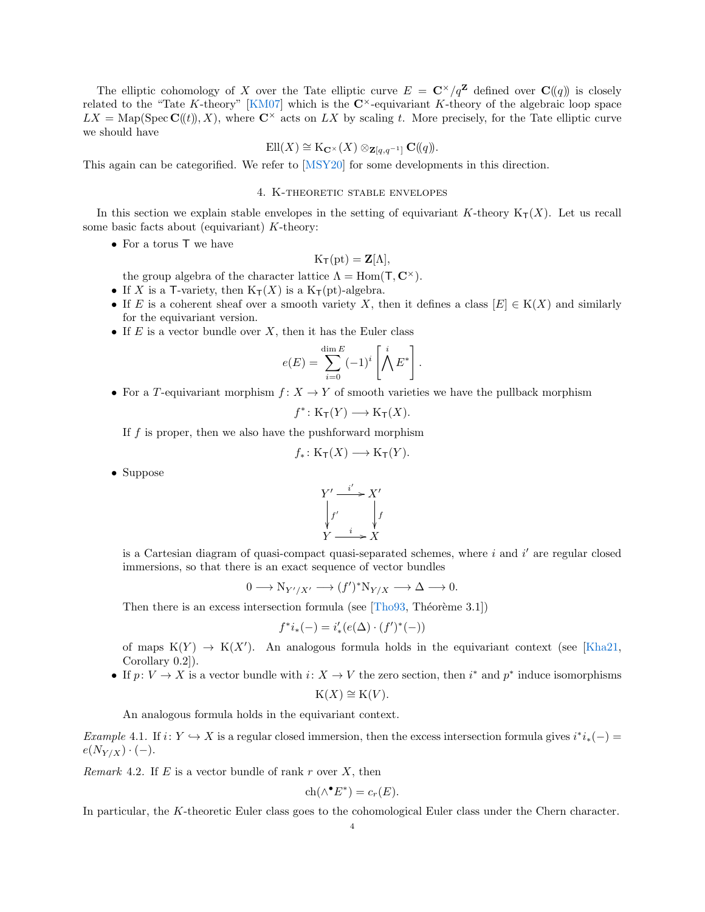The elliptic cohomology of X over the Tate elliptic curve  $E = \mathbb{C}^{\times}/q^{\mathbb{Z}}$  defined over  $\mathbb{C}(\lbrace q \rbrace)$  is closely related to the "Tate K-theory" [\[KM07\]](#page-9-3) which is the  $\mathbb{C}^{\times}$ -equivariant K-theory of the algebraic loop space  $LX = \text{Map}(\text{Spec } \mathbf{C}(\mathcal{U}), X)$ , where  $\mathbf{C}^{\times}$  acts on  $LX$  by scaling t. More precisely, for the Tate elliptic curve we should have

$$
\mathrm{Ell}(X)\cong \mathrm{K}_{\mathbf{C}^{\times}}(X)\otimes_{\mathbf{Z}[q,q^{-1}]} \mathbf{C}(\!(q)\!).
$$

This again can be categorified. We refer to [\[MSY20\]](#page-9-4) for some developments in this direction.

### 4. K-theoretic stable envelopes

In this section we explain stable envelopes in the setting of equivariant K-theory  $K_T(X)$ . Let us recall some basic facts about (equivariant)  $K$ -theory:

• For a torus T we have

$$
K_{\mathsf{T}}(\mathrm{pt}) = \mathbf{Z}[\Lambda],
$$

the group algebra of the character lattice  $\Lambda = \text{Hom}(\mathsf{T}, \mathbb{C}^{\times}).$ 

- If X is a T-variety, then  $K_T(X)$  is a  $K_T(pt)$ -algebra.
- If E is a coherent sheaf over a smooth variety X, then it defines a class  $[E] \in K(X)$  and similarly for the equivariant version.
- If  $E$  is a vector bundle over  $X$ , then it has the Euler class

$$
e(E) = \sum_{i=0}^{\dim E} (-1)^i \left[ \bigwedge^i E^* \right].
$$

• For a T-equivariant morphism  $f: X \to Y$  of smooth varieties we have the pullback morphism

$$
f^* \colon \mathrm{K}_\mathsf{T}(Y) \longrightarrow \mathrm{K}_\mathsf{T}(X).
$$

If  $f$  is proper, then we also have the pushforward morphism

$$
f_*\colon \mathrm{K}_\mathsf{T}(X)\longrightarrow \mathrm{K}_\mathsf{T}(Y).
$$

• Suppose



is a Cartesian diagram of quasi-compact quasi-separated schemes, where  $i$  and  $i'$  are regular closed immersions, so that there is an exact sequence of vector bundles

$$
0 \longrightarrow N_{Y'/X'} \longrightarrow (f')^* N_{Y/X} \longrightarrow \Delta \longrightarrow 0.
$$

Then there is an excess intersection formula (see  $[Tho93, Théorème 3.1]$  $[Tho93, Théorème 3.1]$ )

$$
f^*i_*(-) = i'_*(e(\Delta) \cdot (f')^*(-))
$$

of maps  $K(Y) \to K(X')$ . An analogous formula holds in the equivariant context (see [\[Kha21,](#page-9-6) Corollary 0.2]).

• If  $p: V \to X$  is a vector bundle with  $i: X \to V$  the zero section, then  $i^*$  and  $p^*$  induce isomorphisms  $K(X) \cong K(V)$ .

An analogous formula holds in the equivariant context.

Example 4.1. If  $i: Y \hookrightarrow X$  is a regular closed immersion, then the excess intersection formula gives  $i^*i_*(-)$  $e(N_{Y/X}) \cdot (-).$ 

Remark 4.2. If  $E$  is a vector bundle of rank r over  $X$ , then

$$
ch(\wedge^{\bullet} E^*) = c_r(E).
$$

In particular, the K-theoretic Euler class goes to the cohomological Euler class under the Chern character.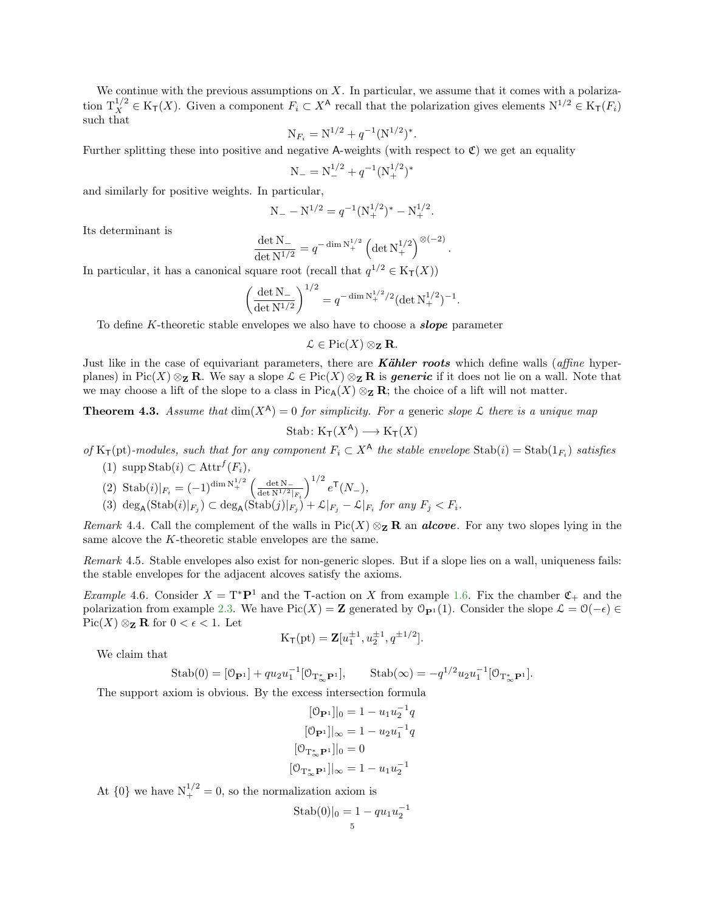We continue with the previous assumptions on  $X$ . In particular, we assume that it comes with a polarization  $T_X^{1/2} \in K_T(X)$ . Given a component  $F_i \subset X^{\mathsf{A}}$  recall that the polarization gives elements  $N^{1/2} \in K_T(F_i)$ such that

$$
N_{F_i} = N^{1/2} + q^{-1} (N^{1/2})^*.
$$

Further splitting these into positive and negative A-weights (with respect to  $\mathfrak{C}$ ) we get an equality

$$
N_{-} = N_{-}^{1/2} + q^{-1} (N_{+}^{1/2})^*
$$

and similarly for positive weights. In particular,

$$
N_- - N^{1/2} = q^{-1} (N_+^{1/2})^* - N_+^{1/2}.
$$

Its determinant is

$$
\frac{\det N_{-}}{\det N^{1/2}} = q^{-\dim N_{+}^{1/2}} \left( \det N_{+}^{1/2} \right)^{\otimes (-2)}
$$

.

In particular, it has a canonical square root (recall that  $q^{1/2} \in K_T(X)$ )

$$
\left(\frac{\det N_-}{\det N^{1/2}}\right)^{1/2} = q^{-\dim N_+^{1/2}/2} (\det N_+^{1/2})^{-1}.
$$

To define K-theoretic stable envelopes we also have to choose a **slope** parameter

$$
\mathcal{L} \in \mathrm{Pic}(X) \otimes_{\mathbf{Z}} \mathbf{R}.
$$

Just like in the case of equivariant parameters, there are **Kähler roots** which define walls (*affine* hyperplanes) in Pic(X) ⊗z R. We say a slope  $\mathcal{L} \in \text{Pic}(X) \otimes_{\mathbf{Z}} \mathbf{R}$  is generic if it does not lie on a wall. Note that we may choose a lift of the slope to a class in Pic<sub>A</sub>(X) ⊗<sub>z</sub> R; the choice of a lift will not matter.

**Theorem 4.3.** Assume that  $dim(X^A) = 0$  for simplicity. For a generic slope L there is a unique map

$$
Stab: K_{\mathsf{T}}(X^{\mathsf{A}}) \longrightarrow K_{\mathsf{T}}(X)
$$

of  $K_{\mathsf{T}}(\text{pt})$ -modules, such that for any component  $F_i \subset X^{\mathsf{A}}$  the stable envelope  $\text{Stab}(i) = \text{Stab}(1_{F_i})$  satisfies

- (1)  $\text{supp Stab}(i) \subset \text{Attr}^f(F_i)$ ,
- (2) Stab $(i)|_{F_i} = (-1)^{\dim N_i^{1/2}} \left( \frac{\det N_i}{\det N^{1/2}} \right)$  $\big)^{1/2} e^{\mathsf{T}}(N_{-}),$
- $\det N^{1/2}|_{F_i}$ (3)  $\deg_A(\text{Stab}(i)|_{F_j}) \subset \deg_A(\text{Stab}(j)|_{F_j}) + \mathcal{L}|_{F_j} - \mathcal{L}|_{F_i}$  for any  $F_j < F_i$ .

Remark 4.4. Call the complement of the walls in  $Pic(X) \otimes_{\mathbf{Z}} \mathbf{R}$  an **alcove**. For any two slopes lying in the same alcove the K-theoretic stable envelopes are the same.

Remark 4.5. Stable envelopes also exist for non-generic slopes. But if a slope lies on a wall, uniqueness fails: the stable envelopes for the adjacent alcoves satisfy the axioms.

<span id="page-4-0"></span>*Example* 4.6. Consider  $X = T^*P^1$  and the T-action on X from example [1.6.](#page-0-0) Fix the chamber  $\mathfrak{C}_+$  and the polarization from example [2.3.](#page-1-0) We have Pic(X) = Z generated by  $\mathcal{O}_{\mathbf{P}^1}(1)$ . Consider the slope  $\mathcal{L} = \mathcal{O}(-\epsilon) \in$  $Pic(X) \otimes_{\mathbf{Z}} \mathbf{R}$  for  $0 < \epsilon < 1$ . Let

$$
K_{\mathsf{T}}(pt) = \mathbf{Z}[u_1^{\pm 1}, u_2^{\pm 1}, q^{\pm 1/2}].
$$

We claim that

Stab(0) = 
$$
[\mathcal{O}_{\mathbf{P}^1}] + qu_2 u_1^{-1} [\mathcal{O}_{T_{\infty}^* \mathbf{P}^1}],
$$
 Stab( $\infty$ ) =  $-q^{1/2} u_2 u_1^{-1} [\mathcal{O}_{T_{\infty}^* \mathbf{P}^1}].$ 

The support axiom is obvious. By the excess intersection formula

$$
[0_{\mathbf{P}1}]|_{0} = 1 - u_{1}u_{2}^{-1}q
$$

$$
[0_{\mathbf{P}1}]|_{\infty} = 1 - u_{2}u_{1}^{-1}q
$$

$$
[0_{\mathbf{T}_{\infty}^{*}\mathbf{P}1}]|_{0} = 0
$$

$$
[0_{\mathbf{T}_{\infty}^{*}\mathbf{P}1}]|_{\infty} = 1 - u_{1}u_{2}^{-1}
$$

At  $\{0\}$  we have  $N_+^{1/2} = 0$ , so the normalization axiom is

Stab(0)|<sup>0</sup> = 1 − qu1u −1 2 5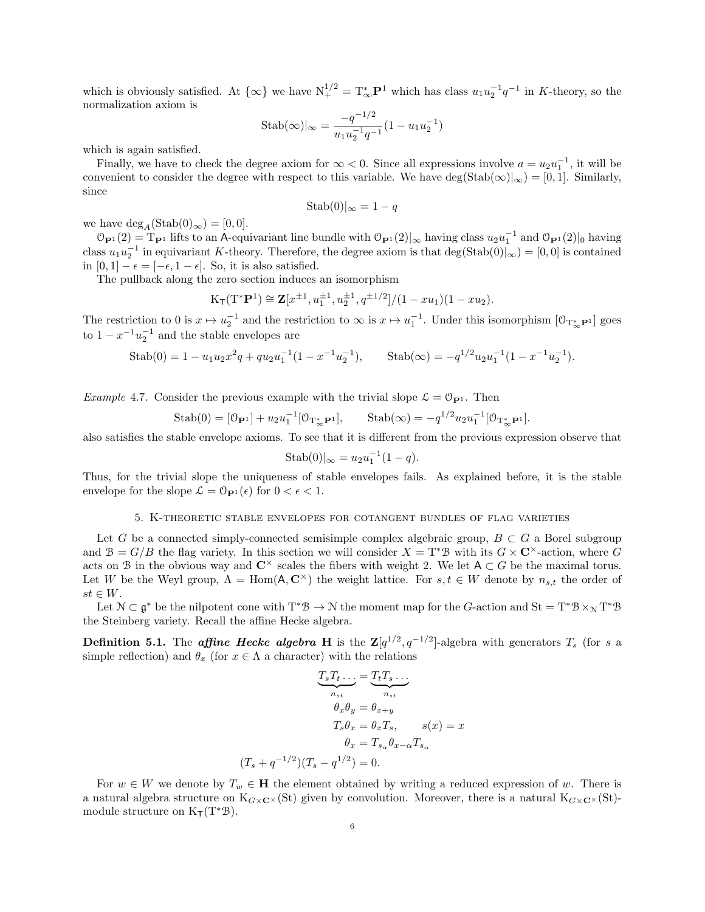which is obviously satisfied. At  $\{\infty\}$  we have  $N_{+}^{1/2} = T_{\infty}^{*} \mathbf{P}^{1}$  which has class  $u_1 u_2^{-1} q^{-1}$  in K-theory, so the normalization axiom is

$$
Stab(\infty)|_{\infty} = \frac{-q^{-1/2}}{u_1 u_2^{-1} q^{-1}} (1 - u_1 u_2^{-1})
$$

which is again satisfied.

Finally, we have to check the degree axiom for  $\infty < 0$ . Since all expressions involve  $a = u_2 u_1^{-1}$ , it will be convenient to consider the degree with respect to this variable. We have deg(Stab( $\infty$ )| $\in$  [0, 1]. Similarly, since

$$
Stab(0)|_{\infty} = 1 - q
$$

we have  $\deg_{A}(\text{Stab}(0)_{\infty}) = [0, 0].$ 

 $\mathcal{O}_{\mathbf{P}^1}(2) = \mathcal{T}_{\mathbf{P}^1}$  lifts to an A-equivariant line bundle with  $\mathcal{O}_{\mathbf{P}^1}(2)|_{\infty}$  having class  $u_2u_1^{-1}$  and  $\mathcal{O}_{\mathbf{P}^1}(2)|_0$  having class  $u_1 u_2^{-1}$  in equivariant K-theory. Therefore, the degree axiom is that  $\deg(\text{Stab}(0)|_{\infty}) = [0, 0]$  is contained in  $[0, 1] - \epsilon = [-\epsilon, 1 - \epsilon]$ . So, it is also satisfied.

The pullback along the zero section induces an isomorphism

$$
K_{\mathsf{T}}(\mathrm{T}^*\mathbf{P}^1) \cong \mathbf{Z}[x^{\pm 1}, u_1^{\pm 1}, u_2^{\pm 1}, q^{\pm 1/2}]/(1 - xu_1)(1 - xu_2).
$$

The restriction to 0 is  $x \mapsto u_1^{-1}$  and the restriction to  $\infty$  is  $x \mapsto u_1^{-1}$ . Under this isomorphism  $[0_{T^*_{\infty}P^1}]$  goes to  $1 - x^{-1}u_2^{-1}$  and the stable envelopes are

Stab(0) = 
$$
1 - u_1 u_2 x^2 q + q u_2 u_1^{-1} (1 - x^{-1} u_2^{-1}),
$$
 Stab( $\infty$ ) =  $-q^{1/2} u_2 u_1^{-1} (1 - x^{-1} u_2^{-1}).$ 

*Example 4.7.* Consider the previous example with the trivial slope  $\mathcal{L} = \mathcal{O}_{\mathbf{P}^1}$ . Then

Stab(0) = 
$$
[\mathcal{O}_{\mathbf{P}^1}] + u_2 u_1^{-1} [\mathcal{O}_{T^*_{\infty} \mathbf{P}^1}],
$$
 Stab( $\infty$ ) =  $-q^{1/2} u_2 u_1^{-1} [\mathcal{O}_{T^*_{\infty} \mathbf{P}^1}].$ 

also satisfies the stable envelope axioms. To see that it is different from the previous expression observe that

$$
Stab(0)|_{\infty} = u_2 u_1^{-1} (1 - q).
$$

Thus, for the trivial slope the uniqueness of stable envelopes fails. As explained before, it is the stable envelope for the slope  $\mathcal{L} = \mathcal{O}_{\mathbf{P}^1}(\epsilon)$  for  $0 < \epsilon < 1$ .

### 5. K-theoretic stable envelopes for cotangent bundles of flag varieties

Let G be a connected simply-connected semisimple complex algebraic group,  $B \subset G$  a Borel subgroup and  $B = G/B$  the flag variety. In this section we will consider  $X = T^*B$  with its  $G \times \mathbb{C}^{\times}$ -action, where G acts on B in the obvious way and  $\mathbb{C}^{\times}$  scales the fibers with weight 2. We let  $A \subset G$  be the maximal torus. Let W be the Weyl group,  $\Lambda = \text{Hom}(\mathsf{A}, \mathbb{C}^\times)$  the weight lattice. For  $s, t \in W$  denote by  $n_{s,t}$  the order of  $st \in W$ .

Let  $\mathcal{N} \subset \mathfrak{g}^*$  be the nilpotent cone with  $T^*\mathcal{B} \to \mathcal{N}$  the moment map for the G-action and  $St = T^*\mathcal{B} \times_{\mathcal{N}} T^*\mathcal{B}$ the Steinberg variety. Recall the affine Hecke algebra.

**Definition 5.1.** The *affine Hecke algebra* H is the  $\mathbb{Z}[q^{1/2}, q^{-1/2}]$ -algebra with generators  $T_s$  (for s a simple reflection) and  $\theta_x$  (for  $x \in \Lambda$  a character) with the relations

$$
\underbrace{T_s T_t \dots}_{n_{st}} = \underbrace{T_t T_s \dots}_{n_{st}}
$$
\n
$$
\theta_x \theta_y = \theta_{x+y}
$$
\n
$$
T_s \theta_x = \theta_x T_s, \qquad s(x) = x
$$
\n
$$
\theta_x = T_{s_\alpha} \theta_{x-\alpha} T_{s_\alpha}
$$
\n
$$
(T_s + q^{-1/2})(T_s - q^{1/2}) = 0.
$$

For  $w \in W$  we denote by  $T_w \in \mathbf{H}$  the element obtained by writing a reduced expression of w. There is a natural algebra structure on  $K_{G\times\mathbf{C}^{\times}}(St)$  given by convolution. Moreover, there is a natural  $K_{G\times\mathbf{C}^{\times}}(St)$ module structure on  $K_T(T^*\mathcal{B})$ .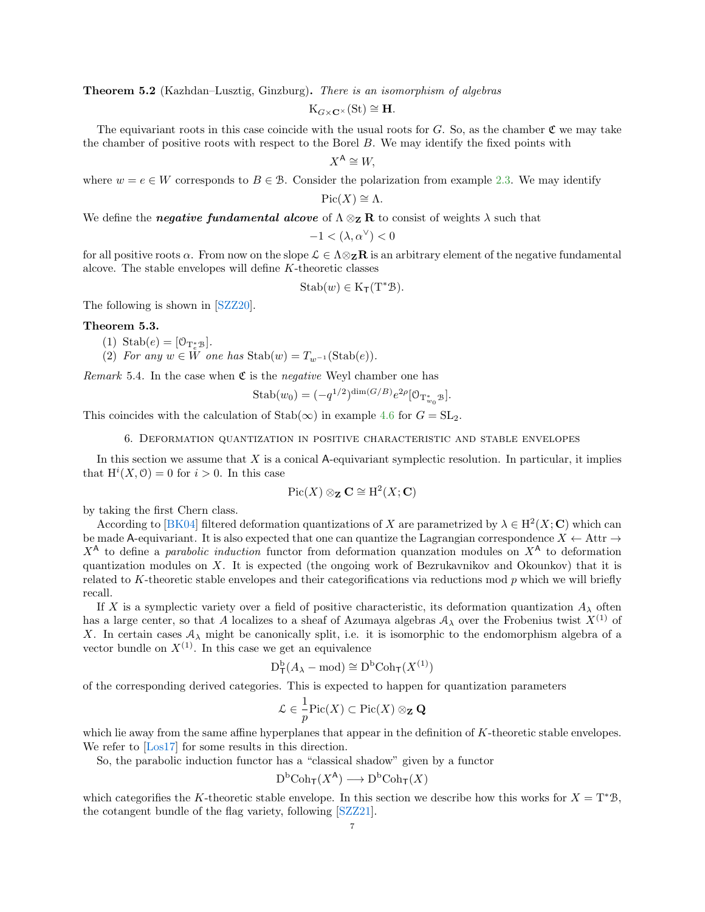Theorem 5.2 (Kazhdan–Lusztig, Ginzburg). There is an isomorphism of algebras

$$
K_{G\times \mathbf{C}^{\times}}(St)\cong \mathbf{H}.
$$

The equivariant roots in this case coincide with the usual roots for  $G$ . So, as the chamber  $\mathfrak C$  we may take the chamber of positive roots with respect to the Borel B. We may identify the fixed points with

 $X^{\mathsf{A}} \cong W$ .

where  $w = e \in W$  corresponds to  $B \in \mathcal{B}$ . Consider the polarization from example [2.3.](#page-1-0) We may identify

 $Pic(X) \cong \Lambda$ .

We define the negative fundamental alcove of  $\Lambda \otimes_{\mathbf{Z}} \mathbf{R}$  to consist of weights  $\lambda$  such that

$$
-1 < (\lambda, \alpha^{\vee}) < 0
$$

for all positive roots  $\alpha$ . From now on the slope  $\mathcal{L} \in \Lambda \otimes_{\mathbf{Z}} \mathbf{R}$  is an arbitrary element of the negative fundamental alcove. The stable envelopes will define K-theoretic classes

$$
Stab(w) \in K_{\mathsf{T}}(\mathrm{T}^*\mathcal{B}).
$$

The following is shown in [\[SZZ20\]](#page-9-7).

### Theorem 5.3.

- (1) Stab $(e) = [\mathcal{O}_{\mathrm{T}_e^*\mathcal{B}}].$
- (2) For any  $w \in W$  one has  $\text{Stab}(w) = T_{w^{-1}}(\text{Stab}(e)).$

*Remark* 5.4. In the case when  $\mathfrak{C}$  is the *negative* Weyl chamber one has

Stab
$$
(w_0) = (-q^{1/2})^{\dim(G/B)} e^{2\rho} [\mathcal{O}_{\mathbb{T}_{w_0}^* \mathcal{B}}].
$$

This coincides with the calculation of Stab( $\infty$ ) in example [4.6](#page-4-0) for  $G = SL_2$ .

6. Deformation quantization in positive characteristic and stable envelopes

In this section we assume that  $X$  is a conical A-equivariant symplectic resolution. In particular, it implies that  $H^{i}(X, \mathcal{O}) = 0$  for  $i > 0$ . In this case

$$
\operatorname{Pic}(X)\otimes_{\mathbf{Z}}\mathbf{C}\cong \mathrm{H}^2(X;\mathbf{C})
$$

by taking the first Chern class.

According to [\[BK04\]](#page-8-1) filtered deformation quantizations of X are parametrized by  $\lambda \in H^2(X; \mathbb{C})$  which can be made A-equivariant. It is also expected that one can quantize the Lagrangian correspondence  $X \leftarrow$  Attr  $\rightarrow$  $X^{\mathsf{A}}$  to define a parabolic induction functor from deformation quanzation modules on  $X^{\mathsf{A}}$  to deformation quantization modules on  $X$ . It is expected (the ongoing work of Bezrukavnikov and Okounkov) that it is related to K-theoretic stable envelopes and their categorifications via reductions mod p which we will briefly recall.

If X is a symplectic variety over a field of positive characteristic, its deformation quantization  $A_{\lambda}$  often has a large center, so that A localizes to a sheaf of Azumaya algebras  $A_\lambda$  over the Frobenius twist  $X^{(1)}$  of X. In certain cases  $A_{\lambda}$  might be canonically split, i.e. it is isomorphic to the endomorphism algebra of a vector bundle on  $X^{(1)}$ . In this case we get an equivalence

$$
\mathrm{D}^{\mathrm{b}}_\mathsf{T}(A_\lambda-\mathrm{mod})\cong\mathrm{D}^\mathrm{b}\mathrm{Coh}_\mathsf{T}(X^{(1)})
$$

of the corresponding derived categories. This is expected to happen for quantization parameters

$$
\mathcal{L} \in \frac{1}{p} \mathrm{Pic}(X) \subset \mathrm{Pic}(X) \otimes_{\mathbf{Z}} \mathbf{Q}
$$

which lie away from the same affine hyperplanes that appear in the definition of K-theoretic stable envelopes. We refer to [\[Los17\]](#page-9-8) for some results in this direction.

So, the parabolic induction functor has a "classical shadow" given by a functor

$$
D^{\mathrm{b}}\mathrm{Coh}_{\mathsf{T}}(X^{\mathsf{A}}) \longrightarrow D^{\mathrm{b}}\mathrm{Coh}_{\mathsf{T}}(X)
$$

which categorifies the K-theoretic stable envelope. In this section we describe how this works for  $X = T^*B$ , the cotangent bundle of the flag variety, following [\[SZZ21\]](#page-9-9).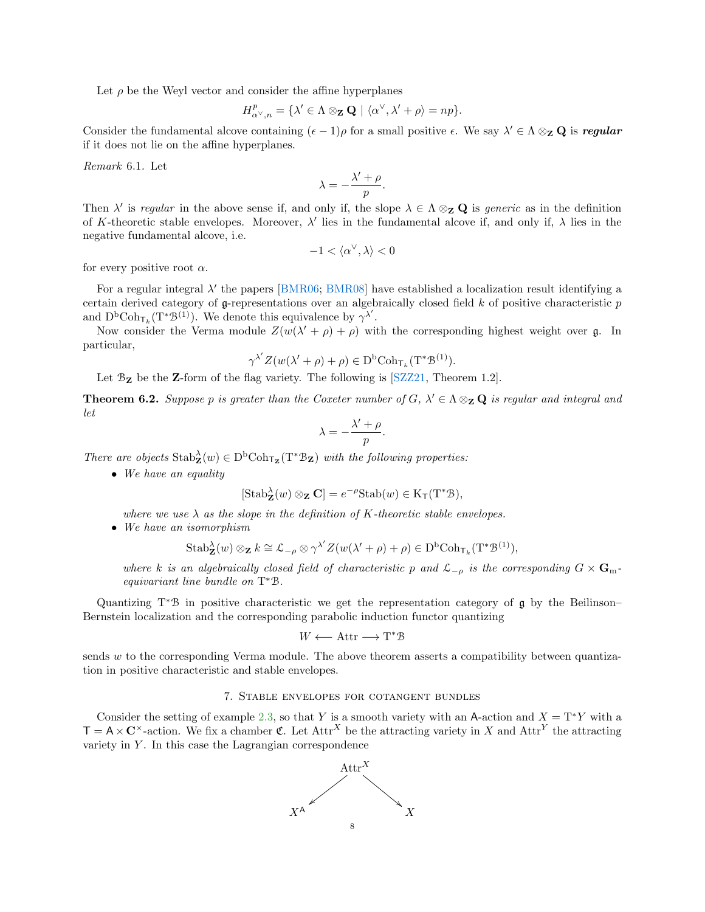Let  $\rho$  be the Weyl vector and consider the affine hyperplanes

$$
H^{p}_{\alpha^{\vee},n} = \{\lambda' \in \Lambda \otimes_{\mathbf{Z}} \mathbf{Q} \mid \langle \alpha^{\vee}, \lambda' + \rho \rangle = np\}.
$$

Consider the fundamental alcove containing  $(\epsilon - 1)\rho$  for a small positive  $\epsilon$ . We say  $\lambda' \in \Lambda \otimes_{\mathbf{Z}} \mathbf{Q}$  is regular if it does not lie on the affine hyperplanes.

Remark 6.1. Let

$$
\lambda = -\frac{\lambda' + \rho}{p}.
$$

Then  $\lambda'$  is regular in the above sense if, and only if, the slope  $\lambda \in \Lambda \otimes_{\mathbf{Z}} \mathbf{Q}$  is generic as in the definition of K-theoretic stable envelopes. Moreover,  $\lambda'$  lies in the fundamental alcove if, and only if,  $\lambda$  lies in the negative fundamental alcove, i.e.

$$
-1 < \langle \alpha^\vee, \lambda \rangle < 0
$$

for every positive root  $\alpha$ .

For a regular integral  $\lambda'$  the papers [\[BMR06;](#page-8-2) [BMR08\]](#page-9-10) have established a localization result identifying a certain derived category of g-representations over an algebraically closed field  $k$  of positive characteristic  $p$ and  $D^b \text{Coh}_{\mathsf{T}_k}(\mathrm{T}^*\mathcal{B}^{(1)})$ . We denote this equivalence by  $\gamma^{\lambda'}$ .

Now consider the Verma module  $Z(w(\lambda' + \rho) + \rho)$  with the corresponding highest weight over g. In particular,

$$
\gamma^{\lambda'} Z(w(\lambda'+\rho)+\rho) \in \mathrm{D}^{\mathrm{b}} \mathrm{Coh}_{\mathsf{T}_k}(\mathrm{T}^*\mathcal{B}^{(1)}).
$$

Let  $\mathcal{B}_{\mathbf{Z}}$  be the **Z**-form of the flag variety. The following is [\[SZZ21,](#page-9-9) Theorem 1.2].

**Theorem 6.2.** Suppose p is greater than the Coxeter number of  $G$ ,  $\lambda' \in \Lambda \otimes_{\mathbf{Z}} \mathbf{Q}$  is regular and integral and let

$$
\lambda = -\frac{\lambda' + \rho}{p}.
$$

There are objects  $\text{Stab}^{\lambda}_{\mathbf{Z}}(w) \in D^{\text{b}}\text{Coh}_{\mathsf{T}_{\mathbf{Z}}}(\mathrm{T}^*\mathcal{B}_{\mathbf{Z}})$  with the following properties:

• We have an equality

$$
[\operatorname{Stab}^{\lambda}_{\mathbf{Z}}(w) \otimes_{\mathbf{Z}} \mathbf{C}] = e^{-\rho} \operatorname{Stab}(w) \in \mathrm{K}_{\mathsf{T}}(\mathrm{T}^*\mathfrak{B}),
$$

where we use  $\lambda$  as the slope in the definition of K-theoretic stable envelopes.

• We have an isomorphism

$$
\mathrm{Stab}^\lambda_{\mathbf{Z}}(w)\otimes_{\mathbf{Z}}k\cong \mathcal{L}_{-\rho}\otimes \gamma^{\lambda'}Z(w(\lambda'+\rho)+\rho)\in \mathrm{D}^\mathrm{b}\mathrm{Coh}_{\mathsf{T}_k}(\mathrm{T}^*\mathfrak{B}^{(1)}),
$$

where k is an algebraically closed field of characteristic p and  $\mathcal{L}_{-\rho}$  is the corresponding  $G \times \mathbf{G}_{\text{m}}$ equivariant line bundle on T <sup>∗</sup>B.

Quantizing T<sup>∗</sup>B in positive characteristic we get the representation category of g by the Beilinson– Bernstein localization and the corresponding parabolic induction functor quantizing

$$
W \longleftarrow \text{Attr} \longrightarrow \text{T}^*\text{B}
$$

sends  $w$  to the corresponding Verma module. The above theorem asserts a compatibility between quantization in positive characteristic and stable envelopes.

# 7. Stable envelopes for cotangent bundles

Consider the setting of example [2.3,](#page-1-0) so that Y is a smooth variety with an A-action and  $X = T^*Y$  with a  $\mathsf{T} = \mathsf{A} \times \mathbb{C}^\times$ -action. We fix a chamber  $\mathfrak{C}$ . Let  $\mathrm{Attr}^X$  be the attracting variety in X and  $\mathrm{Attr}^Y$  the attracting variety in  $Y$ . In this case the Lagrangian correspondence

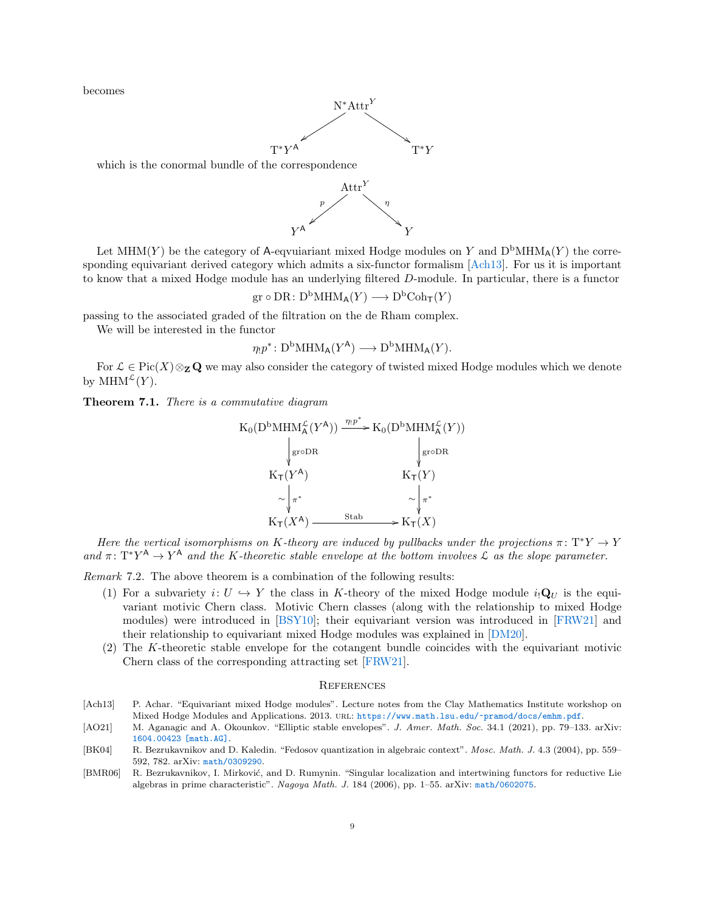becomes



which is the conormal bundle of the correspondence



Let MHM(Y) be the category of A-equuiariant mixed Hodge modules on Y and  $D^bMHM_A(Y)$  the corresponding equivariant derived category which admits a six-functor formalism [\[Ach13\]](#page-8-3). For us it is important to know that a mixed Hodge module has an underlying filtered D-module. In particular, there is a functor

gr 
$$
\circ
$$
 DR:  $D^bMHM_A(Y) \longrightarrow D^bCoh_T(Y)$ 

passing to the associated graded of the filtration on the de Rham complex.

We will be interested in the functor

$$
\eta_! p^* \colon \mathbf{D}^{\mathrm{b}} \mathbf{M} \mathbf{H} \mathbf{M}_{\mathsf{A}} (Y^{\mathsf{A}}) \longrightarrow \mathbf{D}^{\mathrm{b}} \mathbf{M} \mathbf{H} \mathbf{M}_{\mathsf{A}} (Y).
$$

For  $\mathcal{L} \in \text{Pic}(X) \otimes_{\mathbf{Z}} \mathbf{Q}$  we may also consider the category of twisted mixed Hodge modules which we denote by  $\text{MHM}^{\mathcal{L}}(Y)$ .

Theorem 7.1. There is a commutative diagram



Here the vertical isomorphisms on K-theory are induced by pullbacks under the projections  $\pi \colon T^*Y \to Y$ and  $\pi: T^*Y^A \to Y^A$  and the K-theoretic stable envelope at the bottom involves L as the slope parameter.

Remark 7.2. The above theorem is a combination of the following results:

- (1) For a subvariety  $i: U \hookrightarrow Y$  the class in K-theory of the mixed Hodge module  $i_!\mathbf{Q}_U$  is the equivariant motivic Chern class. Motivic Chern classes (along with the relationship to mixed Hodge modules) were introduced in [\[BSY10\]](#page-9-11); their equivariant version was introduced in [\[FRW21\]](#page-9-12) and their relationship to equivariant mixed Hodge modules was explained in [\[DM20\]](#page-9-13).
- (2) The K-theoretic stable envelope for the cotangent bundle coincides with the equivariant motivic Chern class of the corresponding attracting set [\[FRW21\]](#page-9-12).

### **REFERENCES**

- <span id="page-8-3"></span>[Ach13] P. Achar. "Equivariant mixed Hodge modules". Lecture notes from the Clay Mathematics Institute workshop on Mixed Hodge Modules and Applications. 2013. url: <https://www.math.lsu.edu/~pramod/docs/emhm.pdf>.
- <span id="page-8-0"></span>[AO21] M. Aganagic and A. Okounkov. "Elliptic stable envelopes". J. Amer. Math. Soc. 34.1 (2021), pp. 79–133. arXiv: [1604.00423 \[math.AG\]](https://arxiv.org/abs/1604.00423).
- <span id="page-8-1"></span>[BK04] R. Bezrukavnikov and D. Kaledin. "Fedosov quantization in algebraic context". Mosc. Math. J. 4.3 (2004), pp. 559– 592, 782. arXiv: [math/0309290](https://arxiv.org/abs/math/0309290).
- <span id="page-8-2"></span>[BMR06] R. Bezrukavnikov, I. Mirković, and D. Rumynin. "Singular localization and intertwining functors for reductive Lie algebras in prime characteristic". Nagoya Math. J. 184 (2006), pp. 1–55. arXiv: [math/0602075](https://arxiv.org/abs/math/0602075).